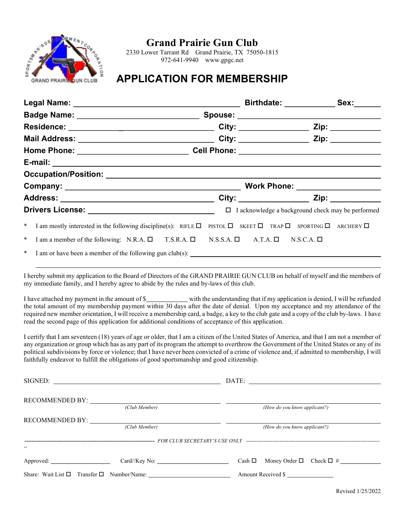

## Grand Prairie Gun Club

2330 Lower Tarrant Rd Grand Prairie, TX 75050-1815 972-641-9940 www.gpgc.net

## APPLICATION FOR MEMBERSHIP

|                                                                                                                                                        |                                     | Birthdate: Sex:                                          |  |                  |
|--------------------------------------------------------------------------------------------------------------------------------------------------------|-------------------------------------|----------------------------------------------------------|--|------------------|
|                                                                                                                                                        |                                     |                                                          |  |                  |
|                                                                                                                                                        |                                     |                                                          |  | Zip: ___________ |
|                                                                                                                                                        |                                     |                                                          |  |                  |
|                                                                                                                                                        | Home Phone: Cell Phone: Cell Phone: |                                                          |  |                  |
|                                                                                                                                                        |                                     |                                                          |  |                  |
|                                                                                                                                                        |                                     |                                                          |  |                  |
|                                                                                                                                                        |                                     |                                                          |  |                  |
|                                                                                                                                                        |                                     |                                                          |  |                  |
|                                                                                                                                                        |                                     | $\Box$ I acknowledge a background check may be performed |  |                  |
| <sup>*</sup> I am mostly interested in the following discipline(s): RIFLE $\Box$ PISTOL $\Box$ SKEET $\Box$ TRAP $\Box$ SPORTING $\Box$ ARCHERY $\Box$ |                                     |                                                          |  |                  |
| * I am a member of the following: N.R.A. $\square$ T.S.R.A. $\square$ N.S.S.A. $\square$ A.T.A. $\square$ N.S.C.A. $\square$                           |                                     |                                                          |  |                  |
|                                                                                                                                                        |                                     |                                                          |  |                  |

I hereby submit my application to the Board of Directors of the GRAND PRAIRIE GUN CLUB on behalf of myself and the members of my immediate family, and I hereby agree to abide by the rules and by-laws of this club.

I have attached my payment in the amount of \$ with the understanding that if my application is denied, I will be refunded the total amount of my membership payment within 30 days after the date of denial. Upon my acceptance and my attendance of the required new member orientation, I will receive a membership card, a badge, a key to the club gate and a copy of the club by-laws. I have read the second page of this application for additional conditions of acceptance of this application.

I certify that I am seventeen (18) years of age or older, that I am a citizen of the United States of America, and that I am not a member of any organization or group which has as any part of its program the attempt to overthrow the Government of the United States or any of its political subdivisions by force or violence; that I have never been convicted of a crime of violence and, if admitted to membership, I will faithfully endeavor to fulfill the obligations of good sportsmanship and good citizenship.

| RECOMMENDED BY:                                      |               |                                               |  |  |  |
|------------------------------------------------------|---------------|-----------------------------------------------|--|--|--|
|                                                      | (Club Member) | (How do you know applicant?)                  |  |  |  |
| RECOMMENDED BY:                                      |               |                                               |  |  |  |
|                                                      | (Club Member) | (How do you know applicant?)                  |  |  |  |
|                                                      |               |                                               |  |  |  |
|                                                      |               |                                               |  |  |  |
| Approved:                                            |               | Cash $\Box$ Money Order $\Box$ Check $\Box$ # |  |  |  |
| Share: Wait List $\Box$ Transfer $\Box$ Number/Name: |               | Amount Received \$                            |  |  |  |